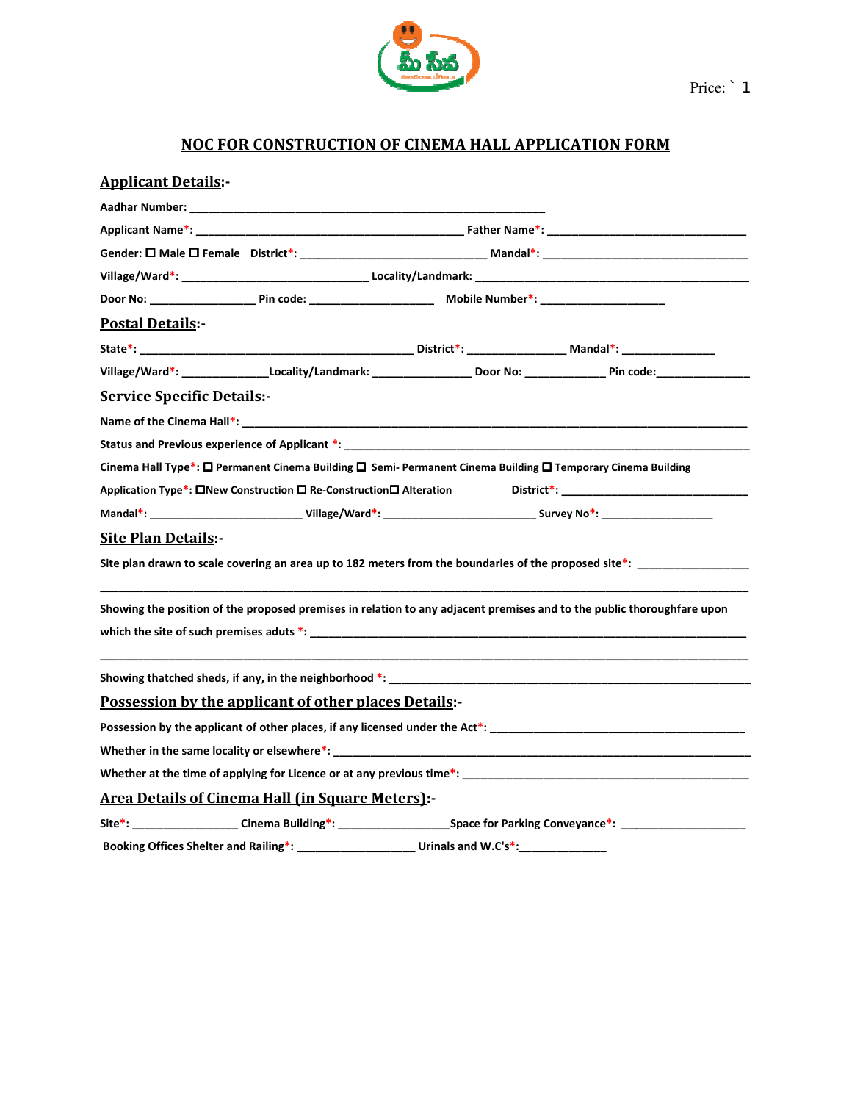

## NOC FOR CONSTRUCTION OF CINEMA HALL APPLICATION FORM

| <b>Applicant Details:-</b>                                                                                                             |                         |  |
|----------------------------------------------------------------------------------------------------------------------------------------|-------------------------|--|
|                                                                                                                                        |                         |  |
|                                                                                                                                        |                         |  |
|                                                                                                                                        |                         |  |
|                                                                                                                                        |                         |  |
|                                                                                                                                        |                         |  |
| <b>Postal Details:-</b>                                                                                                                |                         |  |
|                                                                                                                                        |                         |  |
|                                                                                                                                        |                         |  |
| <b>Service Specific Details:-</b>                                                                                                      |                         |  |
|                                                                                                                                        |                         |  |
|                                                                                                                                        |                         |  |
| Cinema Hall Type*: □ Permanent Cinema Building □ Semi- Permanent Cinema Building □ Temporary Cinema Building                           |                         |  |
| Application Type*: □New Construction □ Re-Construction□ Alteration                                                                     |                         |  |
| Mandal*: __________________________________Village/Ward*: _________________________________Survey No*: _______________________________ |                         |  |
| <b>Site Plan Details:-</b>                                                                                                             |                         |  |
| Site plan drawn to scale covering an area up to 182 meters from the boundaries of the proposed site*:                                  |                         |  |
| Showing the position of the proposed premises in relation to any adjacent premises and to the public thoroughfare upon                 |                         |  |
|                                                                                                                                        |                         |  |
| Possession by the applicant of other places Details:-                                                                                  |                         |  |
| Possession by the applicant of other places, if any licensed under the Act <sup>*</sup> : __________________________________           |                         |  |
|                                                                                                                                        |                         |  |
|                                                                                                                                        |                         |  |
| <b>Area Details of Cinema Hall (in Square Meters):-</b>                                                                                |                         |  |
| Site*: __________________Cinema Building*: _________________________Space for Parking Conveyance*: ________________                    |                         |  |
| Booking Offices Shelter and Railing*:                                                                                                  | Urinals and $W.C's^*$ : |  |